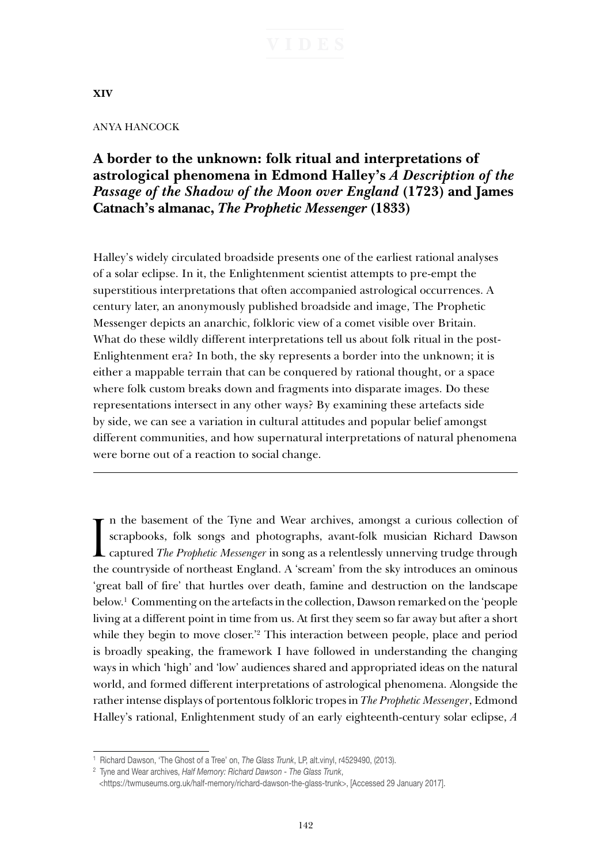## **XIV**

### ANYA HANCOCK

# **A border to the unknown: folk ritual and interpretations of astrological phenomena in Edmond Halley's** *A Description of the Passage of the Shadow of the Moon over England* **(1723) and James Catnach's almanac,** *The Prophetic Messenger* **(1833)**

Halley's widely circulated broadside presents one of the earliest rational analyses of a solar eclipse. In it, the Enlightenment scientist attempts to pre-empt the superstitious interpretations that often accompanied astrological occurrences. A century later, an anonymously published broadside and image, The Prophetic Messenger depicts an anarchic, folkloric view of a comet visible over Britain. What do these wildly different interpretations tell us about folk ritual in the post-Enlightenment era? In both, the sky represents a border into the unknown; it is either a mappable terrain that can be conquered by rational thought, or a space where folk custom breaks down and fragments into disparate images. Do these representations intersect in any other ways? By examining these artefacts side by side, we can see a variation in cultural attitudes and popular belief amongst different communities, and how supernatural interpretations of natural phenomena were borne out of a reaction to social change.

In the basement of the Tyne and Wear archives, amongst a curious collection of scrapbooks, folk songs and photographs, avant-folk musician Richard Dawson captured *The Prophetic Messenger* in song as a relentlessly unnervi n the basement of the Tyne and Wear archives, amongst a curious collection of scrapbooks, folk songs and photographs, avant-folk musician Richard Dawson the countryside of northeast England. A 'scream' from the sky introduces an ominous 'great ball of fire' that hurtles over death, famine and destruction on the landscape below.1 Commenting on the artefacts in the collection, Dawson remarked on the 'people living at a different point in time from us. At first they seem so far away but after a short while they begin to move closer.<sup>2</sup> This interaction between people, place and period is broadly speaking, the framework I have followed in understanding the changing ways in which 'high' and 'low' audiences shared and appropriated ideas on the natural world, and formed different interpretations of astrological phenomena. Alongside the rather intense displays of portentous folkloric tropes in *The Prophetic Messenger*, Edmond Halley's rational, Enlightenment study of an early eighteenth-century solar eclipse, *A* 

<sup>1</sup> Richard Dawson, 'The Ghost of a Tree' on, *The Glass Trunk*, LP, alt.vinyl, r4529490, (2013).

<sup>2</sup> Tyne and Wear archives, *Half Memory: Richard Dawson - The Glass Trunk*,

 <sup>&</sup>lt;https://twmuseums.org.uk/half-memory/richard-dawson-the-glass-trunk>, [Accessed 29 January 2017].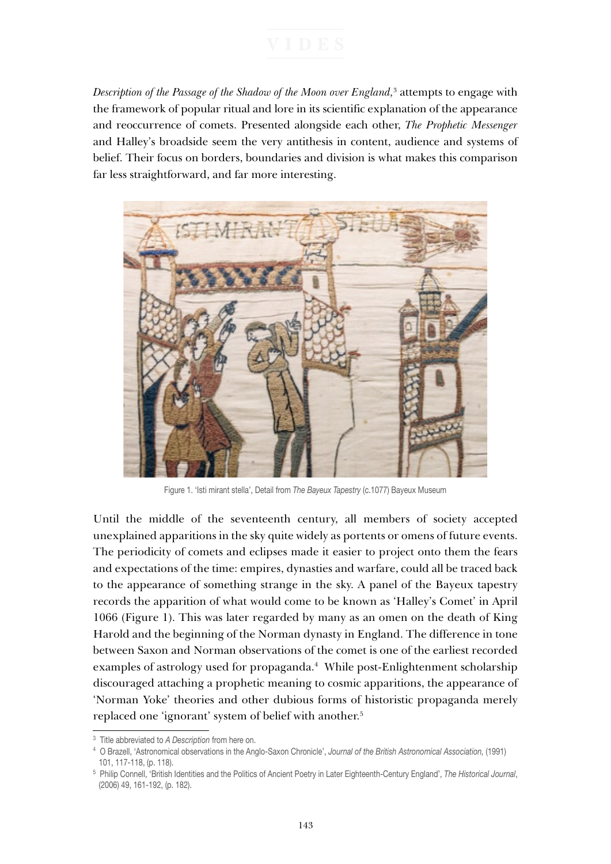*Description of the Passage of the Shadow of the Moon over England,*<sup>3</sup> attempts to engage with the framework of popular ritual and lore in its scientific explanation of the appearance and reoccurrence of comets. Presented alongside each other, *The Prophetic Messenger* and Halley's broadside seem the very antithesis in content, audience and systems of belief. Their focus on borders, boundaries and division is what makes this comparison far less straightforward, and far more interesting.



Figure 1. 'Isti mirant stella', Detail from *The Bayeux Tapestry* (c.1077) Bayeux Museum

Until the middle of the seventeenth century, all members of society accepted unexplained apparitions in the sky quite widely as portents or omens of future events. The periodicity of comets and eclipses made it easier to project onto them the fears and expectations of the time: empires, dynasties and warfare, could all be traced back to the appearance of something strange in the sky. A panel of the Bayeux tapestry records the apparition of what would come to be known as 'Halley's Comet' in April 1066 (Figure 1). This was later regarded by many as an omen on the death of King Harold and the beginning of the Norman dynasty in England. The difference in tone between Saxon and Norman observations of the comet is one of the earliest recorded examples of astrology used for propaganda.<sup>4</sup> While post-Enlightenment scholarship discouraged attaching a prophetic meaning to cosmic apparitions, the appearance of 'Norman Yoke' theories and other dubious forms of historistic propaganda merely replaced one 'ignorant' system of belief with another.<sup>5</sup>

<sup>3</sup> Title abbreviated to *A Description* from here on.

<sup>4</sup> O Brazell, 'Astronomical observations in the Anglo-Saxon Chronicle', *Journal of the British Astronomical Association,* (1991) 101, 117-118, (p. 118).

<sup>5</sup> Philip Connell, 'British Identities and the Politics of Ancient Poetry in Later Eighteenth-Century England', *The Historical Journal*, (2006) 49, 161-192, (p. 182).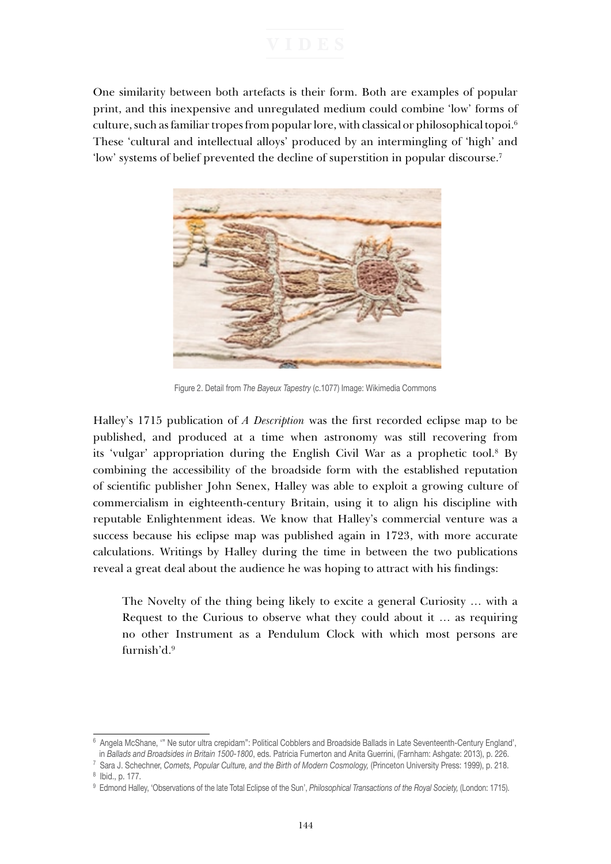One similarity between both artefacts is their form. Both are examples of popular print, and this inexpensive and unregulated medium could combine 'low' forms of culture, such as familiar tropes from popular lore, with classical or philosophical topoi.<sup>6</sup> These 'cultural and intellectual alloys' produced by an intermingling of 'high' and 'low' systems of belief prevented the decline of superstition in popular discourse.7



Figure 2. Detail from *The Bayeux Tapestry* (c.1077) Image: Wikimedia Commons

Halley's 1715 publication of *A Description* was the first recorded eclipse map to be published, and produced at a time when astronomy was still recovering from its 'vulgar' appropriation during the English Civil War as a prophetic tool.<sup>8</sup> By combining the accessibility of the broadside form with the established reputation of scientific publisher John Senex, Halley was able to exploit a growing culture of commercialism in eighteenth-century Britain, using it to align his discipline with reputable Enlightenment ideas. We know that Halley's commercial venture was a success because his eclipse map was published again in 1723, with more accurate calculations. Writings by Halley during the time in between the two publications reveal a great deal about the audience he was hoping to attract with his findings:

The Novelty of the thing being likely to excite a general Curiosity … with a Request to the Curious to observe what they could about it … as requiring no other Instrument as a Pendulum Clock with which most persons are furnish'd.9

<sup>6</sup> Angela McShane, '" Ne sutor ultra crepidam": Political Cobblers and Broadside Ballads in Late Seventeenth-Century England', in *Ballads and Broadsides in Britain 1500-1800*, eds. Patricia Fumerton and Anita Guerrini, (Farnham: Ashgate: 2013), p. 226.

<sup>7</sup> Sara J. Schechner, *Comets, Popular Culture, and the Birth of Modern Cosmology,* (Princeton University Press: 1999), p. 218. 8 Ibid., p. 177.

<sup>9</sup> Edmond Halley, 'Observations of the late Total Eclipse of the Sun', *Philosophical Transactions of the Royal Society,* (London: 1715).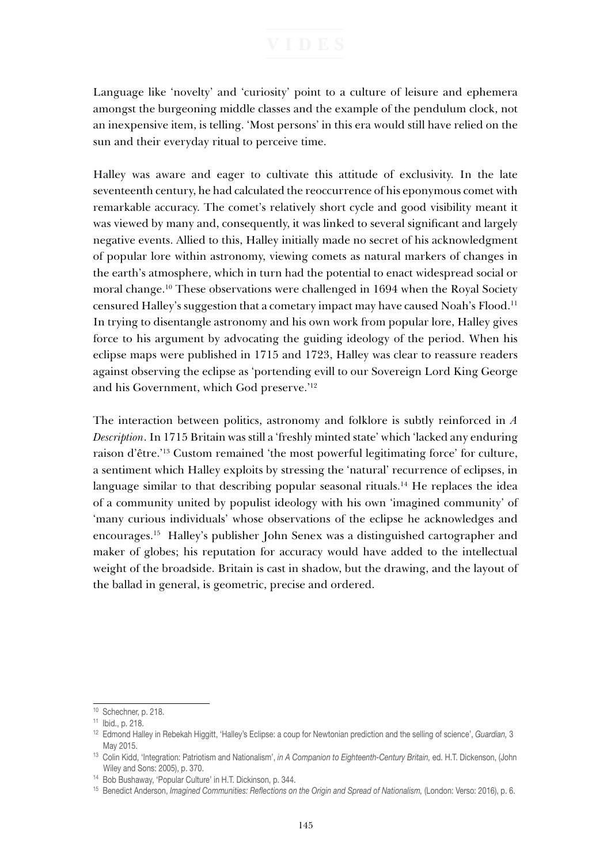Language like 'novelty' and 'curiosity' point to a culture of leisure and ephemera amongst the burgeoning middle classes and the example of the pendulum clock, not an inexpensive item, is telling. 'Most persons' in this era would still have relied on the sun and their everyday ritual to perceive time.

Halley was aware and eager to cultivate this attitude of exclusivity. In the late seventeenth century, he had calculated the reoccurrence of his eponymous comet with remarkable accuracy. The comet's relatively short cycle and good visibility meant it was viewed by many and, consequently, it was linked to several significant and largely negative events. Allied to this, Halley initially made no secret of his acknowledgment of popular lore within astronomy, viewing comets as natural markers of changes in the earth's atmosphere, which in turn had the potential to enact widespread social or moral change.10 These observations were challenged in 1694 when the Royal Society censured Halley's suggestion that a cometary impact may have caused Noah's Flood.11 In trying to disentangle astronomy and his own work from popular lore, Halley gives force to his argument by advocating the guiding ideology of the period. When his eclipse maps were published in 1715 and 1723, Halley was clear to reassure readers against observing the eclipse as 'portending evill to our Sovereign Lord King George and his Government, which God preserve.'12

The interaction between politics, astronomy and folklore is subtly reinforced in *A Description*. In 1715 Britain was still a 'freshly minted state' which 'lacked any enduring raison d'être.'13 Custom remained 'the most powerful legitimating force' for culture, a sentiment which Halley exploits by stressing the 'natural' recurrence of eclipses, in language similar to that describing popular seasonal rituals.<sup>14</sup> He replaces the idea of a community united by populist ideology with his own 'imagined community' of 'many curious individuals' whose observations of the eclipse he acknowledges and encourages.15 Halley's publisher John Senex was a distinguished cartographer and maker of globes; his reputation for accuracy would have added to the intellectual weight of the broadside. Britain is cast in shadow, but the drawing, and the layout of the ballad in general, is geometric, precise and ordered.

<sup>&</sup>lt;sup>10</sup> Schechner, p. 218.

<sup>11</sup> Ibid., p. 218.

<sup>12</sup> Edmond Halley in Rebekah Higgitt, 'Halley's Eclipse: a coup for Newtonian prediction and the selling of science', *Guardian,* 3 May 2015.

<sup>13</sup> Colin Kidd, 'Integration: Patriotism and Nationalism', *in A Companion to Eighteenth-Century Britain,* ed. H.T. Dickenson, (John Wiley and Sons: 2005), p. 370.

<sup>14</sup> Bob Bushaway, 'Popular Culture' in H.T. Dickinson, p. 344.

<sup>15</sup> Benedict Anderson, *Imagined Communities: Reflections on the Origin and Spread of Nationalism,* (London: Verso: 2016), p. 6.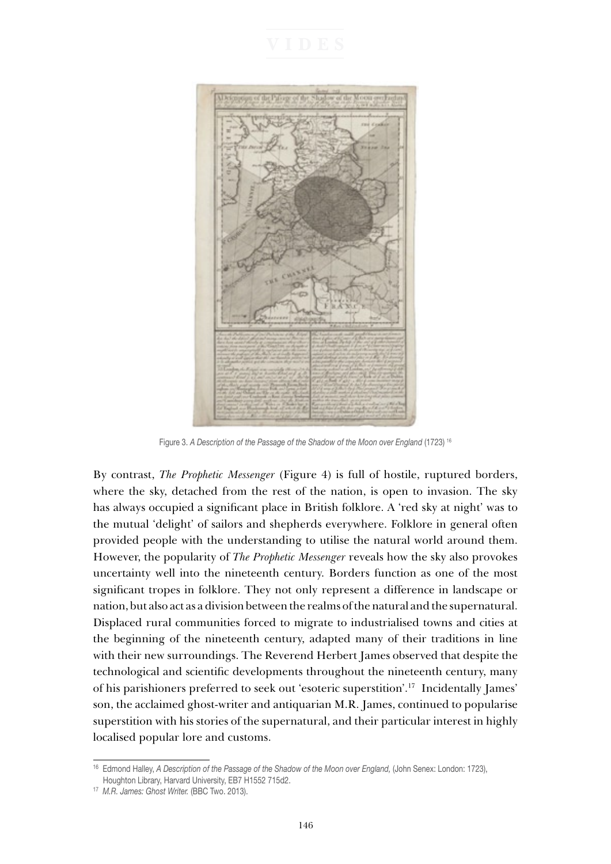

Figure 3. *A Description of the Passage of the Shadow of the Moon over England* (1723) 16

By contrast, *The Prophetic Messenger* (Figure 4) is full of hostile, ruptured borders, where the sky, detached from the rest of the nation, is open to invasion. The sky has always occupied a significant place in British folklore. A 'red sky at night' was to the mutual 'delight' of sailors and shepherds everywhere. Folklore in general often provided people with the understanding to utilise the natural world around them. However, the popularity of *The Prophetic Messenger* reveals how the sky also provokes uncertainty well into the nineteenth century. Borders function as one of the most significant tropes in folklore. They not only represent a difference in landscape or nation, but also act as a division between the realms of the natural and the supernatural. Displaced rural communities forced to migrate to industrialised towns and cities at the beginning of the nineteenth century, adapted many of their traditions in line with their new surroundings. The Reverend Herbert James observed that despite the technological and scientific developments throughout the nineteenth century, many of his parishioners preferred to seek out 'esoteric superstition'.17 Incidentally James' son, the acclaimed ghost-writer and antiquarian M.R. James, continued to popularise superstition with his stories of the supernatural, and their particular interest in highly localised popular lore and customs.

<sup>16</sup> Edmond Halley, *A Description of the Passage of the Shadow of the Moon over England,* (John Senex: London: 1723), Houghton Library, Harvard University, EB7 H1552 715d2.

<sup>&</sup>lt;sup>17</sup> M.R. James: Ghost Writer. (BBC Two. 2013).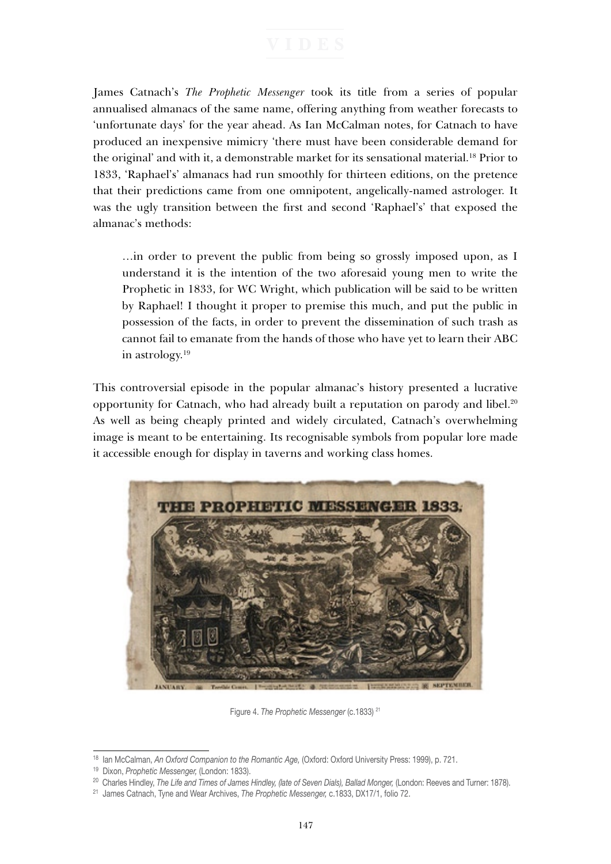James Catnach's *The Prophetic Messenger* took its title from a series of popular annualised almanacs of the same name, offering anything from weather forecasts to 'unfortunate days' for the year ahead. As Ian McCalman notes, for Catnach to have produced an inexpensive mimicry 'there must have been considerable demand for the original' and with it, a demonstrable market for its sensational material.<sup>18</sup> Prior to 1833, 'Raphael's' almanacs had run smoothly for thirteen editions, on the pretence that their predictions came from one omnipotent, angelically-named astrologer. It was the ugly transition between the first and second 'Raphael's' that exposed the almanac's methods:

…in order to prevent the public from being so grossly imposed upon, as I understand it is the intention of the two aforesaid young men to write the Prophetic in 1833, for WC Wright, which publication will be said to be written by Raphael! I thought it proper to premise this much, and put the public in possession of the facts, in order to prevent the dissemination of such trash as cannot fail to emanate from the hands of those who have yet to learn their ABC in astrology.19

This controversial episode in the popular almanac's history presented a lucrative opportunity for Catnach, who had already built a reputation on parody and libel.<sup>20</sup> As well as being cheaply printed and widely circulated, Catnach's overwhelming image is meant to be entertaining. Its recognisable symbols from popular lore made it accessible enough for display in taverns and working class homes.



Figure 4. *The Prophetic Messenger* (c.1833) 21

<sup>18</sup> Ian McCalman, *An Oxford Companion to the Romantic Age,* (Oxford: Oxford University Press: 1999), p. 721.

<sup>19</sup> Dixon, *Prophetic Messenger,* (London: 1833).

<sup>20</sup> Charles Hindley, *The Life and Times of James Hindley, (late of Seven Dials), Ballad Monger,* (London: Reeves and Turner: 1878).

<sup>21</sup> James Catnach, Tyne and Wear Archives, *The Prophetic Messenger,* c.1833, DX17/1, folio 72.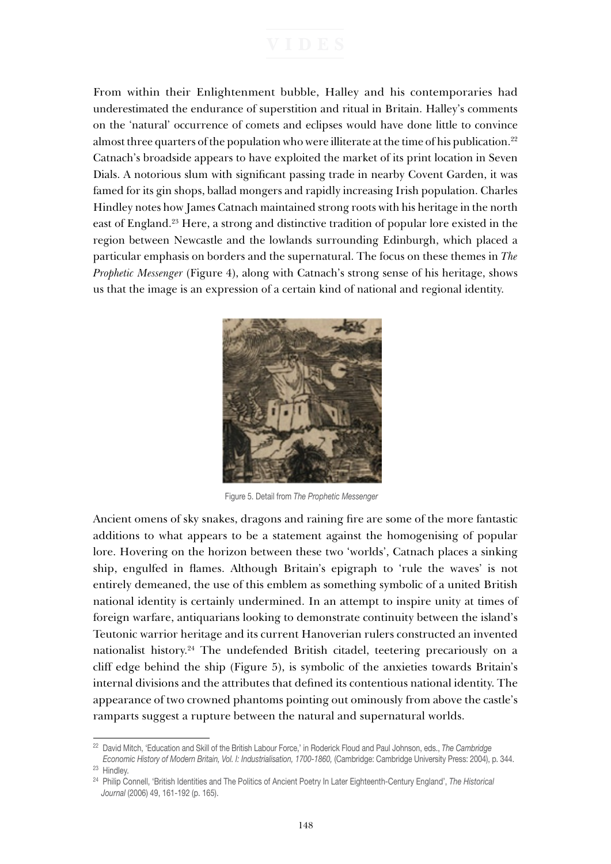From within their Enlightenment bubble, Halley and his contemporaries had underestimated the endurance of superstition and ritual in Britain. Halley's comments on the 'natural' occurrence of comets and eclipses would have done little to convince almost three quarters of the population who were illiterate at the time of his publication.<sup>22</sup> Catnach's broadside appears to have exploited the market of its print location in Seven Dials. A notorious slum with significant passing trade in nearby Covent Garden, it was famed for its gin shops, ballad mongers and rapidly increasing Irish population. Charles Hindley notes how James Catnach maintained strong roots with his heritage in the north east of England.23 Here, a strong and distinctive tradition of popular lore existed in the region between Newcastle and the lowlands surrounding Edinburgh, which placed a particular emphasis on borders and the supernatural. The focus on these themes in *The Prophetic Messenger* (Figure 4), along with Catnach's strong sense of his heritage, shows us that the image is an expression of a certain kind of national and regional identity.



Figure 5. Detail from *The Prophetic Messenger*

Ancient omens of sky snakes, dragons and raining fire are some of the more fantastic additions to what appears to be a statement against the homogenising of popular lore. Hovering on the horizon between these two 'worlds', Catnach places a sinking ship, engulfed in flames. Although Britain's epigraph to 'rule the waves' is not entirely demeaned, the use of this emblem as something symbolic of a united British national identity is certainly undermined. In an attempt to inspire unity at times of foreign warfare, antiquarians looking to demonstrate continuity between the island's Teutonic warrior heritage and its current Hanoverian rulers constructed an invented nationalist history.<sup>24</sup> The undefended British citadel, teetering precariously on a cliff edge behind the ship (Figure 5), is symbolic of the anxieties towards Britain's internal divisions and the attributes that defined its contentious national identity. The appearance of two crowned phantoms pointing out ominously from above the castle's ramparts suggest a rupture between the natural and supernatural worlds.

<sup>22</sup> David Mitch, 'Education and Skill of the British Labour Force,' in Roderick Floud and Paul Johnson, eds., *The Cambridge* 

*Economic History of Modern Britain, Vol. I: Industrialisation, 1700-1860,* (Cambridge: Cambridge University Press: 2004), p. 344. <sup>23</sup> Hindley.

<sup>24</sup> Philip Connell, 'British Identities and The Politics of Ancient Poetry In Later Eighteenth-Century England', *The Historical Journal* (2006) 49, 161-192 (p. 165).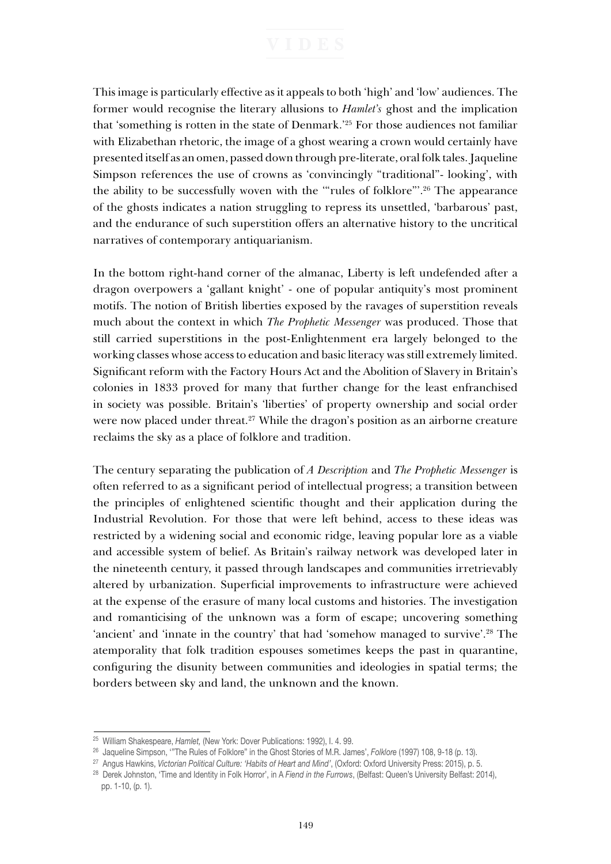This image is particularly effective as it appeals to both 'high' and 'low' audiences. The former would recognise the literary allusions to *Hamlet's* ghost and the implication that 'something is rotten in the state of Denmark.'25 For those audiences not familiar with Elizabethan rhetoric, the image of a ghost wearing a crown would certainly have presented itself as an omen, passed down through pre-literate, oral folk tales. Jaqueline Simpson references the use of crowns as 'convincingly "traditional"- looking', with the ability to be successfully woven with the '"rules of folklore"'.26 The appearance of the ghosts indicates a nation struggling to repress its unsettled, 'barbarous' past, and the endurance of such superstition offers an alternative history to the uncritical narratives of contemporary antiquarianism.

In the bottom right-hand corner of the almanac, Liberty is left undefended after a dragon overpowers a 'gallant knight' - one of popular antiquity's most prominent motifs. The notion of British liberties exposed by the ravages of superstition reveals much about the context in which *The Prophetic Messenger* was produced. Those that still carried superstitions in the post-Enlightenment era largely belonged to the working classes whose access to education and basic literacy was still extremely limited. Significant reform with the Factory Hours Act and the Abolition of Slavery in Britain's colonies in 1833 proved for many that further change for the least enfranchised in society was possible. Britain's 'liberties' of property ownership and social order were now placed under threat.<sup>27</sup> While the dragon's position as an airborne creature reclaims the sky as a place of folklore and tradition.

The century separating the publication of *A Description* and *The Prophetic Messenger* is often referred to as a significant period of intellectual progress; a transition between the principles of enlightened scientific thought and their application during the Industrial Revolution. For those that were left behind, access to these ideas was restricted by a widening social and economic ridge, leaving popular lore as a viable and accessible system of belief. As Britain's railway network was developed later in the nineteenth century, it passed through landscapes and communities irretrievably altered by urbanization. Superficial improvements to infrastructure were achieved at the expense of the erasure of many local customs and histories. The investigation and romanticising of the unknown was a form of escape; uncovering something 'ancient' and 'innate in the country' that had 'somehow managed to survive'.28 The atemporality that folk tradition espouses sometimes keeps the past in quarantine, configuring the disunity between communities and ideologies in spatial terms; the borders between sky and land, the unknown and the known.

<sup>25</sup> William Shakespeare, *Hamlet,* (New York: Dover Publications: 1992), I. 4. 99.

<sup>26</sup> Jaqueline Simpson, '"The Rules of Folklore" in the Ghost Stories of M.R. James', *Folklore* (1997) 108, 9-18 (p. 13).

<sup>&</sup>lt;sup>27</sup> Angus Hawkins, *Victorian Political Culture: 'Habits of Heart and Mind'*, (Oxford: Oxford University Press: 2015), p. 5.<br><sup>28</sup> Derek Johnston, 'Time and Identity in Folk Horror', in A Fiend in the Furrows, (Belfast: Qu

pp. 1-10, (p. 1).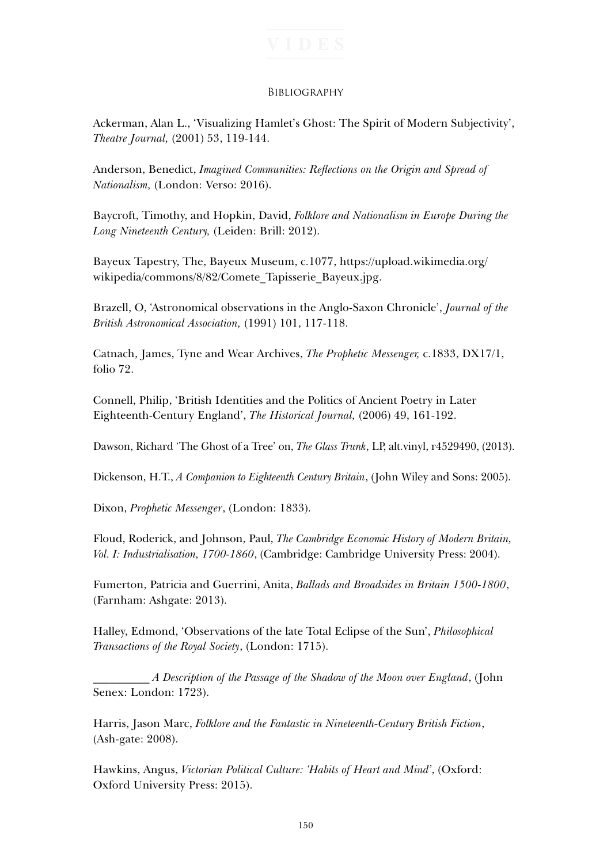## **BIBLIOGRAPHY**

Ackerman, Alan L., 'Visualizing Hamlet's Ghost: The Spirit of Modern Subjectivity', *Theatre Journal,* (2001) 53, 119-144.

Anderson, Benedict, *Imagined Communities: Reflections on the Origin and Spread of Nationalism,* (London: Verso: 2016).

Baycroft, Timothy, and Hopkin, David, *Folklore and Nationalism in Europe During the Long Nineteenth Century,* (Leiden: Brill: 2012).

Bayeux Tapestry, The, Bayeux Museum, c.1077, https://upload.wikimedia.org/ wikipedia/commons/8/82/Comete\_Tapisserie\_Bayeux.jpg.

Brazell, O, 'Astronomical observations in the Anglo-Saxon Chronicle', *Journal of the British Astronomical Association,* (1991) 101, 117-118.

Catnach, James, Tyne and Wear Archives, *The Prophetic Messenger,* c.1833, DX17/1, folio 72.

Connell, Philip, 'British Identities and the Politics of Ancient Poetry in Later Eighteenth-Century England', *The Historical Journal,* (2006) 49, 161-192.

Dawson, Richard 'The Ghost of a Tree' on, *The Glass Trunk*, LP, alt.vinyl, r4529490, (2013).

Dickenson, H.T., *A Companion to Eighteenth Century Britain*, (John Wiley and Sons: 2005).

Dixon, *Prophetic Messenger*, (London: 1833).

Floud, Roderick, and Johnson, Paul, *The Cambridge Economic History of Modern Britain, Vol. I: Industrialisation, 1700-1860*, (Cambridge: Cambridge University Press: 2004).

Fumerton, Patricia and Guerrini, Anita, *Ballads and Broadsides in Britain 1500-1800*, (Farnham: Ashgate: 2013).

Halley, Edmond, 'Observations of the late Total Eclipse of the Sun', *Philosophical Transactions of the Royal Society*, (London: 1715).

\_\_\_\_\_\_\_\_\_\_ *A Description of the Passage of the Shadow of the Moon over England*, (John Senex: London: 1723).

Harris, Jason Marc, *Folklore and the Fantastic in Nineteenth-Century British Fiction*, (Ash-gate: 2008).

Hawkins, Angus, *Victorian Political Culture: 'Habits of Heart and Mind'*, (Oxford: Oxford University Press: 2015).